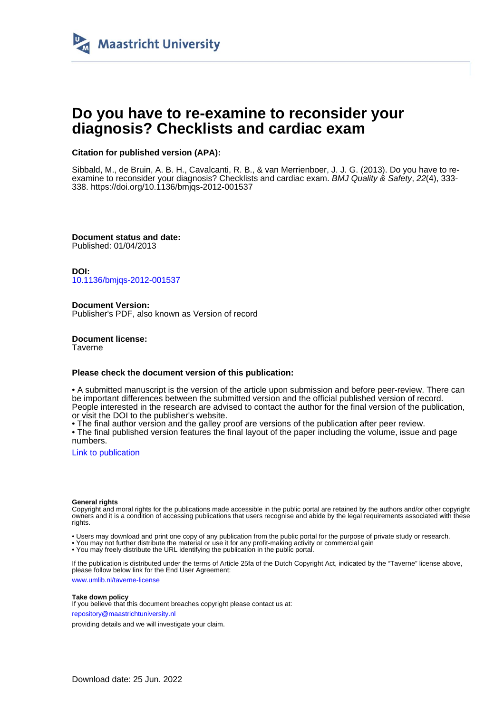

# **Do you have to re-examine to reconsider your diagnosis? Checklists and cardiac exam**

#### **Citation for published version (APA):**

Sibbald, M., de Bruin, A. B. H., Cavalcanti, R. B., & van Merrienboer, J. J. G. (2013). Do you have to reexamine to reconsider your diagnosis? Checklists and cardiac exam. BMJ Quality & Safety, 22(4), 333-338.<https://doi.org/10.1136/bmjqs-2012-001537>

**Document status and date:** Published: 01/04/2013

**DOI:** [10.1136/bmjqs-2012-001537](https://doi.org/10.1136/bmjqs-2012-001537)

**Document Version:** Publisher's PDF, also known as Version of record

**Document license: Taverne** 

#### **Please check the document version of this publication:**

• A submitted manuscript is the version of the article upon submission and before peer-review. There can be important differences between the submitted version and the official published version of record. People interested in the research are advised to contact the author for the final version of the publication, or visit the DOI to the publisher's website.

• The final author version and the galley proof are versions of the publication after peer review.

• The final published version features the final layout of the paper including the volume, issue and page numbers.

[Link to publication](https://cris.maastrichtuniversity.nl/en/publications/8a7041cf-089e-47b0-b97a-da52c8a19193)

#### **General rights**

Copyright and moral rights for the publications made accessible in the public portal are retained by the authors and/or other copyright owners and it is a condition of accessing publications that users recognise and abide by the legal requirements associated with these rights.

• Users may download and print one copy of any publication from the public portal for the purpose of private study or research.

• You may not further distribute the material or use it for any profit-making activity or commercial gain

• You may freely distribute the URL identifying the publication in the public portal.

If the publication is distributed under the terms of Article 25fa of the Dutch Copyright Act, indicated by the "Taverne" license above, please follow below link for the End User Agreement:

www.umlib.nl/taverne-license

#### **Take down policy**

If you believe that this document breaches copyright please contact us at: repository@maastrichtuniversity.nl

providing details and we will investigate your claim.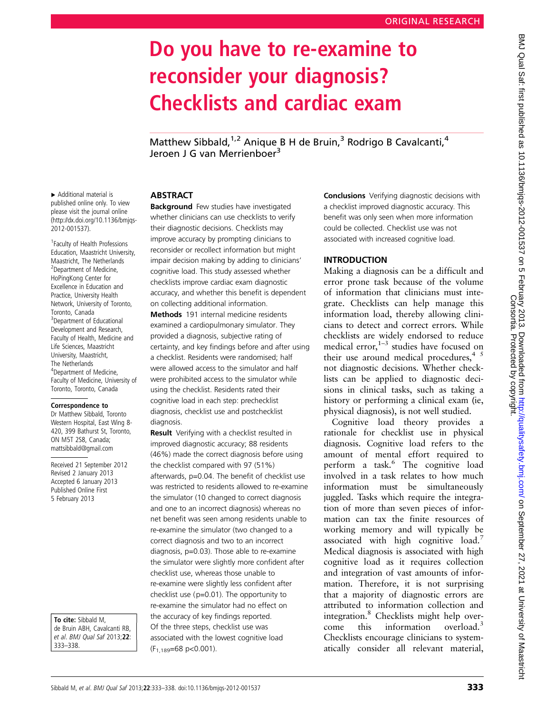# Do you have to re-examine to reconsider your diagnosis? Checklists and cardiac exam

Matthew Sibbald,<sup>1,2</sup> Anique B H de Bruin,<sup>3</sup> Rodrigo B Cavalcanti,<sup>4</sup> Jeroen J G van Merrienboer<sup>3</sup>

# ABSTRACT

**Background** Few studies have investigated whether clinicians can use checklists to verify their diagnostic decisions. Checklists may improve accuracy by prompting clinicians to reconsider or recollect information but might impair decision making by adding to clinicians' cognitive load. This study assessed whether checklists improve cardiac exam diagnostic accuracy, and whether this benefit is dependent on collecting additional information.

Methods 191 internal medicine residents examined a cardiopulmonary simulator. They provided a diagnosis, subjective rating of certainty, and key findings before and after using a checklist. Residents were randomised; half were allowed access to the simulator and half were prohibited access to the simulator while using the checklist. Residents rated their cognitive load in each step: prechecklist diagnosis, checklist use and postchecklist diagnosis.

**Result** Verifying with a checklist resulted in improved diagnostic accuracy; 88 residents (46%) made the correct diagnosis before using the checklist compared with 97 (51%) afterwards, p=0.04. The benefit of checklist use was restricted to residents allowed to re-examine the simulator (10 changed to correct diagnosis and one to an incorrect diagnosis) whereas no net benefit was seen among residents unable to re-examine the simulator (two changed to a correct diagnosis and two to an incorrect diagnosis, p=0.03). Those able to re-examine the simulator were slightly more confident after checklist use, whereas those unable to re-examine were slightly less confident after checklist use (p=0.01). The opportunity to re-examine the simulator had no effect on the accuracy of key findings reported. Of the three steps, checklist use was associated with the lowest cognitive load  $(F<sub>1,189</sub>=68 p<0.001)$ .

Conclusions Verifying diagnostic decisions with a checklist improved diagnostic accuracy. This benefit was only seen when more information could be collected. Checklist use was not associated with increased cognitive load.

# INTRODUCTION

Making a diagnosis can be a difficult and error prone task because of the volume of information that clinicians must integrate. Checklists can help manage this information load, thereby allowing clinicians to detect and correct errors. While checklists are widely endorsed to reduce medical error, $1-3$  studies have focused on their use around medical procedures,  $4^{5}$ not diagnostic decisions. Whether checklists can be applied to diagnostic decisions in clinical tasks, such as taking a history or performing a clinical exam (ie, physical diagnosis), is not well studied.

Cognitive load theory provides a rationale for checklist use in physical diagnosis. Cognitive load refers to the amount of mental effort required to perform a task.<sup>6</sup> The cognitive load involved in a task relates to how much information must be simultaneously juggled. Tasks which require the integration of more than seven pieces of information can tax the finite resources of working memory and will typically be associated with high cognitive load.<sup>7</sup> Medical diagnosis is associated with high cognitive load as it requires collection and integration of vast amounts of information. Therefore, it is not surprising that a majority of diagnostic errors are attributed to information collection and integration.<sup>8</sup> Checklists might help overcome this information overload.<sup>3</sup> Checklists encourage clinicians to systematically consider all relevant material,

▸ Additional material is published online only. To view please visit the journal online ([http://dx.doi.org/10.1136/bmjqs-](http://dx.doi.org/10.1136/bmjqs-2012-001537)[2012-001537](http://dx.doi.org/10.1136/bmjqs-2012-001537)).

1 Faculty of Health Professions Education, Maastricht University, Maastricht, The Netherlands <sup>2</sup> Department of Medicine, HoPingKong Center for Excellence in Education and Practice, University Health Network, University of Toronto, Toronto, Canada <sup>3</sup>Department of Educational Development and Research, Faculty of Health, Medicine and Life Sciences, Maastricht University, Maastricht, The Netherlands 4 Department of Medicine, Faculty of Medicine, University of Toronto, Toronto, Canada

#### Correspondence to

Dr Matthew Sibbald, Toronto Western Hospital, East Wing 8- 420, 399 Bathurst St, Toronto, ON M5T 2S8, Canada; mattsibbald@gmail.com

Received 21 September 2012 Revised 2 January 2013 Accepted 6 January 2013 Published Online First 5 February 2013

To cite: Sibbald M, de Bruin ABH, Cavalcanti RB, et al. BMJ Qual Saf 2013;22: 333–338.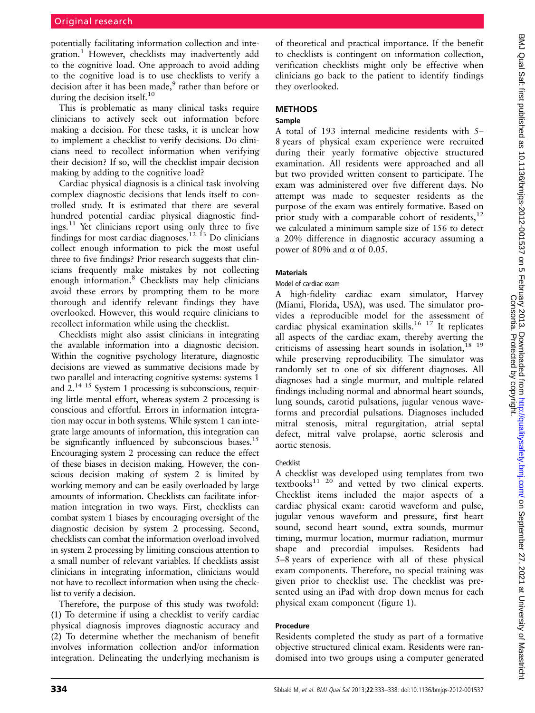potentially facilitating information collection and integration.<sup>1</sup> However, checklists may inadvertently add to the cognitive load. One approach to avoid adding to the cognitive load is to use checklists to verify a decision after it has been made,<sup>9</sup> rather than before or during the decision itself.<sup>10</sup>

This is problematic as many clinical tasks require clinicians to actively seek out information before making a decision. For these tasks, it is unclear how to implement a checklist to verify decisions. Do clinicians need to recollect information when verifying their decision? If so, will the checklist impair decision making by adding to the cognitive load?

Cardiac physical diagnosis is a clinical task involving complex diagnostic decisions that lends itself to controlled study. It is estimated that there are several hundred potential cardiac physical diagnostic find $i$ ngs.<sup>11</sup> Yet clinicians report using only three to five findings for most cardiac diagnoses.<sup>12 13</sup> Do clinicians collect enough information to pick the most useful three to five findings? Prior research suggests that clinicians frequently make mistakes by not collecting enough information.<sup>8</sup> Checklists may help clinicians avoid these errors by prompting them to be more thorough and identify relevant findings they have overlooked. However, this would require clinicians to recollect information while using the checklist.

Checklists might also assist clinicians in integrating the available information into a diagnostic decision. Within the cognitive psychology literature, diagnostic decisions are viewed as summative decisions made by two parallel and interacting cognitive systems: systems 1 and 2.14 15 System 1 processing is subconscious, requiring little mental effort, whereas system 2 processing is conscious and effortful. Errors in information integration may occur in both systems. While system 1 can integrate large amounts of information, this integration can be significantly influenced by subconscious biases.<sup>15</sup> Encouraging system 2 processing can reduce the effect of these biases in decision making. However, the conscious decision making of system 2 is limited by working memory and can be easily overloaded by large amounts of information. Checklists can facilitate information integration in two ways. First, checklists can combat system 1 biases by encouraging oversight of the diagnostic decision by system 2 processing. Second, checklists can combat the information overload involved in system 2 processing by limiting conscious attention to a small number of relevant variables. If checklists assist clinicians in integrating information, clinicians would not have to recollect information when using the checklist to verify a decision.

Therefore, the purpose of this study was twofold: (1) To determine if using a checklist to verify cardiac physical diagnosis improves diagnostic accuracy and (2) To determine whether the mechanism of benefit involves information collection and/or information integration. Delineating the underlying mechanism is of theoretical and practical importance. If the benefit to checklists is contingent on information collection, verification checklists might only be effective when clinicians go back to the patient to identify findings they overlooked.

# **METHODS**

# Sample

A total of 193 internal medicine residents with 5– 8 years of physical exam experience were recruited during their yearly formative objective structured examination. All residents were approached and all but two provided written consent to participate. The exam was administered over five different days. No attempt was made to sequester residents as the purpose of the exam was entirely formative. Based on prior study with a comparable cohort of residents, $^{12}$ we calculated a minimum sample size of 156 to detect a 20% difference in diagnostic accuracy assuming a power of 80% and α of 0.05.

# Materials

#### Model of cardiac exam

A high-fidelity cardiac exam simulator, Harvey (Miami, Florida, USA), was used. The simulator provides a reproducible model for the assessment of cardiac physical examination skills.<sup>16 17</sup> It replicates all aspects of the cardiac exam, thereby averting the criticisms of assessing heart sounds in isolation, $18 \tcdot 19$ while preserving reproducibility. The simulator was randomly set to one of six different diagnoses. All diagnoses had a single murmur, and multiple related findings including normal and abnormal heart sounds, lung sounds, carotid pulsations, jugular venous waveforms and precordial pulsations. Diagnoses included mitral stenosis, mitral regurgitation, atrial septal defect, mitral valve prolapse, aortic sclerosis and aortic stenosis.

# Checklist

A checklist was developed using templates from two  $text{text}$ <sup>11 20</sup> and vetted by two clinical experts. Checklist items included the major aspects of a cardiac physical exam: carotid waveform and pulse, jugular venous waveform and pressure, first heart sound, second heart sound, extra sounds, murmur timing, murmur location, murmur radiation, murmur shape and precordial impulses. Residents had 5–8 years of experience with all of these physical exam components. Therefore, no special training was given prior to checklist use. The checklist was presented using an iPad with drop down menus for each physical exam component (figure 1).

# Procedure

Residents completed the study as part of a formative objective structured clinical exam. Residents were randomised into two groups using a computer generated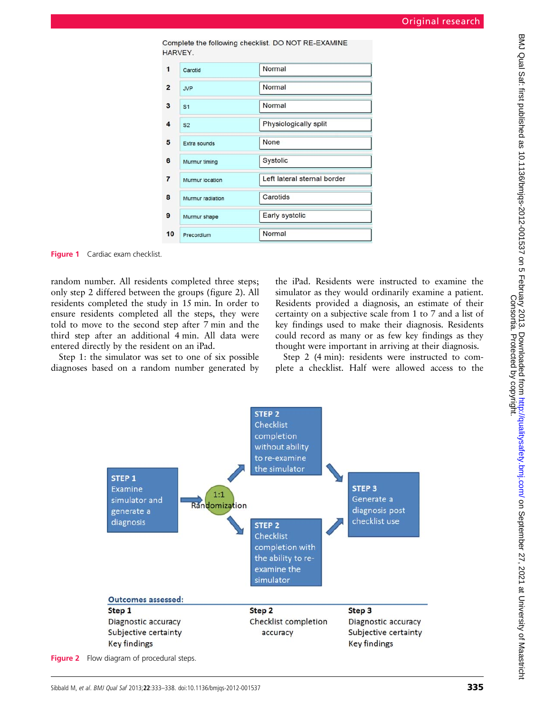|                | HARVEY.          |                             |
|----------------|------------------|-----------------------------|
| 1              | Carotid          | Normal                      |
| $\overline{2}$ | <b>JVP</b>       | Normal                      |
| 3              | S <sub>1</sub>   | Normal                      |
| 4              | S <sub>2</sub>   | Physiologically split       |
| 5              | Extra sounds     | None                        |
| 6              | Murmur timing    | Systolic                    |
| $\overline{7}$ | Murmur location  | Left lateral sternal border |
| 8              | Murmur radiation | Carotids                    |
| 9              | Murmur shape     | Early systolic              |
| 10             | Precordium       | Normal                      |

Complete the following checklist. DO NOT RE-EXAMINE

Figure 1 Cardiac exam checklist.

random number. All residents completed three steps; only step 2 differed between the groups (figure 2). All residents completed the study in 15 min. In order to ensure residents completed all the steps, they were told to move to the second step after 7 min and the third step after an additional 4 min. All data were entered directly by the resident on an iPad.

Step 1: the simulator was set to one of six possible diagnoses based on a random number generated by the iPad. Residents were instructed to examine the simulator as they would ordinarily examine a patient. Residents provided a diagnosis, an estimate of their certainty on a subjective scale from 1 to 7 and a list of key findings used to make their diagnosis. Residents could record as many or as few key findings as they thought were important in arriving at their diagnosis.

Step 2 (4 min): residents were instructed to complete a checklist. Half were allowed access to the



Figure 2 Flow diagram of procedural steps.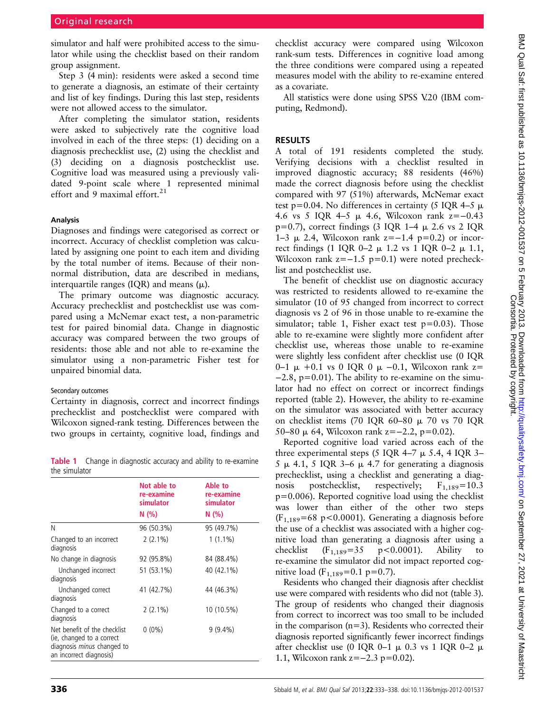simulator and half were prohibited access to the simulator while using the checklist based on their random group assignment.

Step 3 (4 min): residents were asked a second time to generate a diagnosis, an estimate of their certainty and list of key findings. During this last step, residents were not allowed access to the simulator.

After completing the simulator station, residents were asked to subjectively rate the cognitive load involved in each of the three steps: (1) deciding on a diagnosis prechecklist use, (2) using the checklist and (3) deciding on a diagnosis postchecklist use. Cognitive load was measured using a previously validated 9-point scale where 1 represented minimal effort and 9 maximal effort.<sup>21</sup>

#### Analysis

Diagnoses and findings were categorised as correct or incorrect. Accuracy of checklist completion was calculated by assigning one point to each item and dividing by the total number of items. Because of their nonnormal distribution, data are described in medians, interquartile ranges (IQR) and means  $(\mu)$ .

The primary outcome was diagnostic accuracy. Accuracy prechecklist and postchecklist use was compared using a McNemar exact test, a non-parametric test for paired binomial data. Change in diagnostic accuracy was compared between the two groups of residents: those able and not able to re-examine the simulator using a non-parametric Fisher test for unpaired binomial data.

#### Secondary outcomes

Certainty in diagnosis, correct and incorrect findings prechecklist and postchecklist were compared with Wilcoxon signed-rank testing. Differences between the two groups in certainty, cognitive load, findings and

**Table 1** Change in diagnostic accuracy and ability to re-examine the simulator

| uic piliulatui                                                                                                            |                                                |                                            |  |  |  |  |
|---------------------------------------------------------------------------------------------------------------------------|------------------------------------------------|--------------------------------------------|--|--|--|--|
|                                                                                                                           | Not able to<br>re-examine<br>simulator<br>N(%) | Able to<br>re-examine<br>simulator<br>N(%) |  |  |  |  |
| N                                                                                                                         | 96 (50.3%)                                     | 95 (49.7%)                                 |  |  |  |  |
| Changed to an incorrect<br>diagnosis                                                                                      | $2(2.1\%)$                                     | $1(1.1\%)$                                 |  |  |  |  |
| No change in diagnosis                                                                                                    | 92 (95.8%)                                     | 84 (88.4%)                                 |  |  |  |  |
| Unchanged incorrect<br>diagnosis                                                                                          | 51 (53.1%)                                     | 40 (42.1%)                                 |  |  |  |  |
| Unchanged correct<br>diagnosis                                                                                            | 41 (42.7%)                                     | 44 (46.3%)                                 |  |  |  |  |
| Changed to a correct<br>diagnosis                                                                                         | $2(2.1\%)$                                     | 10 (10.5%)                                 |  |  |  |  |
| Net benefit of the checklist<br>(ie, changed to a correct<br>diagnosis <i>minus</i> changed to<br>an incorrect diagnosis) | $0(0\%)$                                       | $9(9.4\%)$                                 |  |  |  |  |

checklist accuracy were compared using Wilcoxon rank-sum tests. Differences in cognitive load among the three conditions were compared using a repeated measures model with the ability to re-examine entered as a covariate.

All statistics were done using SPSS V.20 (IBM computing, Redmond).

### RESULTS

A total of 191 residents completed the study. Verifying decisions with a checklist resulted in improved diagnostic accuracy; 88 residents (46%) made the correct diagnosis before using the checklist compared with 97 (51%) afterwards, McNemar exact test p=0.04. No differences in certainty (5 IQR 4–5  $\mu$ ) 4.6 vs 5 IQR 4–5 m 4.6, Wilcoxon rank z=−0.43 p=0.7), correct findings (3 IQR 1–4  $\mu$  2.6 vs 2 IQR 1–3 μ 2.4, Wilcoxon rank z=−1.4 p=0.2) or incorrect findings (1 IQR 0–2  $\mu$  1.2 vs 1 IQR 0–2  $\mu$  1.1, Wilcoxon rank  $z=-1.5$  p=0.1) were noted prechecklist and postchecklist use.

The benefit of checklist use on diagnostic accuracy was restricted to residents allowed to re-examine the simulator (10 of 95 changed from incorrect to correct diagnosis vs 2 of 96 in those unable to re-examine the simulator; table 1, Fisher exact test  $p=0.03$ ). Those able to re-examine were slightly more confident after checklist use, whereas those unable to re-examine were slightly less confident after checklist use (0 IQR 0–1  $\mu$  +0.1 vs 0 IQR 0  $\mu$  –0.1, Wilcoxon rank z=  $-2.8$ , p=0.01). The ability to re-examine on the simulator had no effect on correct or incorrect findings reported (table 2). However, the ability to re-examine on the simulator was associated with better accuracy on checklist items (70 IQR 60–80  $\mu$  70 vs 70 IQR 50–80  $\mu$  64, Wilcoxon rank z=−2.2, p=0.02).

Reported cognitive load varied across each of the three experimental steps (5 IQR 4–7  $\mu$  5.4, 4 IQR 3– 5  $\mu$  4.1, 5 IQR 3–6  $\mu$  4.7 for generating a diagnosis prechecklist, using a checklist and generating a diagnosis postchecklist, respectively;  $F_{1,189} = 10.3$  $p=0.006$ ). Reported cognitive load using the checklist was lower than either of the other two steps  $(F_{1,189} = 68 \text{ p} < 0.0001)$ . Generating a diagnosis before the use of a checklist was associated with a higher cognitive load than generating a diagnosis after using a checklist  $(F_{1,189} = 35 \text{ p} < 0.0001)$ . Ability to re-examine the simulator did not impact reported cognitive load ( $F_{1,189}$ =0.1 p=0.7).

Residents who changed their diagnosis after checklist use were compared with residents who did not (table 3). The group of residents who changed their diagnosis from correct to incorrect was too small to be included in the comparison  $(n=3)$ . Residents who corrected their diagnosis reported significantly fewer incorrect findings after checklist use (0 IQR 0-1  $\mu$  0.3 vs 1 IQR 0-2  $\mu$ 1.1, Wilcoxon rank z=−2.3 p=0.02).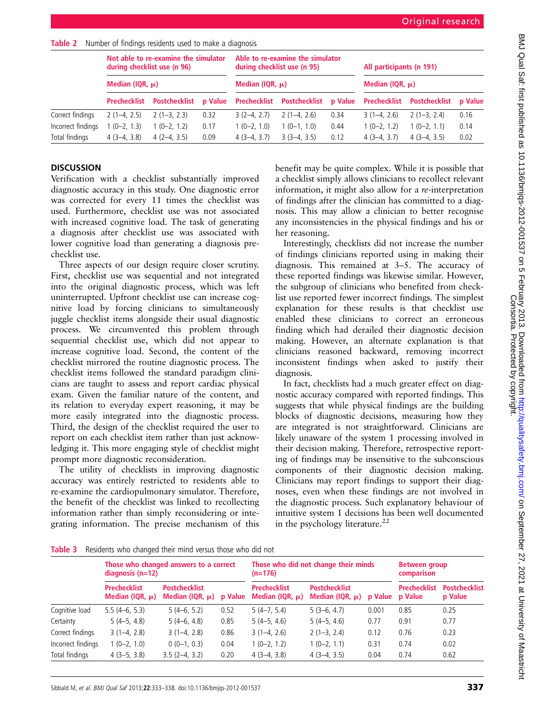Table 2 Number of findings residents used to make a diagnosis

|                    | Not able to re-examine the simulator<br>during checklist use (n 96)<br>Median (IQR, $\mu$ ) |                      |                | Able to re-examine the simulator<br>during checklist use (n 95)<br>Median (IQR, $\mu$ ) |                            |      | All participants (n 191)<br>Median (IQR, $\mu$ ) |               |                |
|--------------------|---------------------------------------------------------------------------------------------|----------------------|----------------|-----------------------------------------------------------------------------------------|----------------------------|------|--------------------------------------------------|---------------|----------------|
|                    |                                                                                             |                      |                |                                                                                         |                            |      |                                                  |               |                |
|                    | Prechecklist                                                                                | <b>Postchecklist</b> | <b>p</b> Value |                                                                                         | Prechecklist Postchecklist |      | p Value Prechecklist                             | Postchecklist | <b>p</b> Value |
| Correct findings   | $2(1-4, 2.5)$                                                                               | $2(1-3, 2.3)$        | 0.32           | $3(2-4, 2.7)$                                                                           | $2(1-4, 2.6)$              | 0.34 | $3(1-4, 2.6)$                                    | $2(1-3, 2.4)$ | 0.16           |
| Incorrect findings | $(0-2, 1.3)$                                                                                | $1(0-2, 1.2)$        | 0.17           | $1(0-2, 1.0)$                                                                           | $(0-1, 1.0)$               | 0.44 | $1(0-2, 1.2)$                                    | $1(0-2, 1.1)$ | 0.14           |
| Total findings     | $4(3-4, 3.8)$                                                                               | $4(2-4, 3.5)$        | 0.09           | $4(3-4, 3.7)$                                                                           | $3(3-4, 3.5)$              | 0.12 | $4(3-4, 3.7)$                                    | $4(3-4, 3.5)$ | 0.02           |

# **DISCUSSION**

Verification with a checklist substantially improved diagnostic accuracy in this study. One diagnostic error was corrected for every 11 times the checklist was used. Furthermore, checklist use was not associated with increased cognitive load. The task of generating a diagnosis after checklist use was associated with lower cognitive load than generating a diagnosis prechecklist use.

Three aspects of our design require closer scrutiny. First, checklist use was sequential and not integrated into the original diagnostic process, which was left uninterrupted. Upfront checklist use can increase cognitive load by forcing clinicians to simultaneously juggle checklist items alongside their usual diagnostic process. We circumvented this problem through sequential checklist use, which did not appear to increase cognitive load. Second, the content of the checklist mirrored the routine diagnostic process. The checklist items followed the standard paradigm clinicians are taught to assess and report cardiac physical exam. Given the familiar nature of the content, and its relation to everyday expert reasoning, it may be more easily integrated into the diagnostic process. Third, the design of the checklist required the user to report on each checklist item rather than just acknowledging it. This more engaging style of checklist might prompt more diagnostic reconsideration.

The utility of checklists in improving diagnostic accuracy was entirely restricted to residents able to re-examine the cardiopulmonary simulator. Therefore, the benefit of the checklist was linked to recollecting information rather than simply reconsidering or integrating information. The precise mechanism of this

benefit may be quite complex. While it is possible that a checklist simply allows clinicians to recollect relevant information, it might also allow for a re-interpretation of findings after the clinician has committed to a diagnosis. This may allow a clinician to better recognise any inconsistencies in the physical findings and his or her reasoning.

Interestingly, checklists did not increase the number of findings clinicians reported using in making their diagnosis. This remained at 3–5. The accuracy of these reported findings was likewise similar. However, the subgroup of clinicians who benefited from checklist use reported fewer incorrect findings. The simplest explanation for these results is that checklist use enabled these clinicians to correct an erroneous finding which had derailed their diagnostic decision making. However, an alternate explanation is that clinicians reasoned backward, removing incorrect inconsistent findings when asked to justify their diagnosis.

In fact, checklists had a much greater effect on diagnostic accuracy compared with reported findings. This suggests that while physical findings are the building blocks of diagnostic decisions, measuring how they are integrated is not straightforward. Clinicians are likely unaware of the system 1 processing involved in their decision making. Therefore, retrospective reporting of findings may be insensitive to the subconscious components of their diagnostic decision making. Clinicians may report findings to support their diagnoses, even when these findings are not involved in the diagnostic process. Such explanatory behaviour of intuitive system 1 decisions has been well documented in the psychology literature.<sup>22</sup>

Table 3 Residents who changed their mind versus those who did not

|                    | Those who changed answers to a correct<br>diagnosis $(n=12)$ |                                              |         | $(n=176)$                                   | Those who did not change their minds         | <b>Between group</b><br>comparison |                                |                                 |
|--------------------|--------------------------------------------------------------|----------------------------------------------|---------|---------------------------------------------|----------------------------------------------|------------------------------------|--------------------------------|---------------------------------|
|                    | <b>Prechecklist</b><br>Median (IQR, $\mu$ )                  | <b>Postchecklist</b><br>Median (IQR, $\mu$ ) | p Value | <b>Prechecklist</b><br>Median (IQR, $\mu$ ) | <b>Postchecklist</b><br>Median (IQR, $\mu$ ) | p Value                            | <b>Prechecklist</b><br>p Value | <b>Postchecklist</b><br>p Value |
| Cognitive load     | $5.5(4-6, 5.3)$                                              | $5(4-6, 5.2)$                                | 0.52    | $5(4-7, 5.4)$                               | $5(3-6, 4.7)$                                | 0.001                              | 0.85                           | 0.25                            |
| Certainty          | $5(4-5, 4.8)$                                                | $5(4-6, 4.8)$                                | 0.85    | $5(4-5, 4.6)$                               | $5(4-5, 4.6)$                                | 0.77                               | 0.91                           | 0.77                            |
| Correct findings   | $3(1-4, 2.8)$                                                | $3(1-4, 2.8)$                                | 0.86    | $3(1-4, 2.6)$                               | $2(1-3, 2.4)$                                | 0.12                               | 0.76                           | 0.23                            |
| Incorrect findings | $1(0-2, 1.0)$                                                | $0(0-1, 0.3)$                                | 0.04    | $1(0-2, 1.2)$                               | $1(0-2, 1.1)$                                | 0.31                               | 0.74                           | 0.02                            |
| Total findings     | $4(3-5, 3.8)$                                                | $3.5(2-4, 3.2)$                              | 0.20    | $4(3-4, 3.8)$                               | $4(3-4, 3.5)$                                | 0.04                               | 0.74                           | 0.62                            |